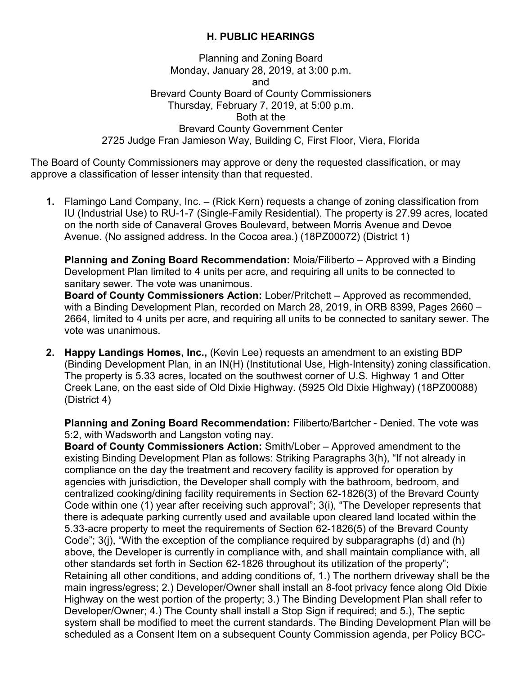## **H. PUBLIC HEARINGS**

Planning and Zoning Board Monday, January 28, 2019, at 3:00 p.m. and Brevard County Board of County Commissioners Thursday, February 7, 2019, at 5:00 p.m. Both at the Brevard County Government Center 2725 Judge Fran Jamieson Way, Building C, First Floor, Viera, Florida

The Board of County Commissioners may approve or deny the requested classification, or may approve a classification of lesser intensity than that requested.

**1.** Flamingo Land Company, Inc. – (Rick Kern) requests a change of zoning classification from IU (Industrial Use) to RU-1-7 (Single-Family Residential). The property is 27.99 acres, located on the north side of Canaveral Groves Boulevard, between Morris Avenue and Devoe Avenue. (No assigned address. In the Cocoa area.) (18PZ00072) (District 1)

**Planning and Zoning Board Recommendation:** Moia/Filiberto – Approved with a Binding Development Plan limited to 4 units per acre, and requiring all units to be connected to sanitary sewer. The vote was unanimous.

**Board of County Commissioners Action:** Lober/Pritchett – Approved as recommended, with a Binding Development Plan, recorded on March 28, 2019, in ORB 8399, Pages 2660 – 2664, limited to 4 units per acre, and requiring all units to be connected to sanitary sewer. The vote was unanimous.

**2. Happy Landings Homes, Inc.,** (Kevin Lee) requests an amendment to an existing BDP (Binding Development Plan, in an IN(H) (Institutional Use, High-Intensity) zoning classification. The property is 5.33 acres, located on the southwest corner of U.S. Highway 1 and Otter Creek Lane, on the east side of Old Dixie Highway. (5925 Old Dixie Highway) (18PZ00088) (District 4)

**Planning and Zoning Board Recommendation:** Filiberto/Bartcher - Denied. The vote was 5:2, with Wadsworth and Langston voting nay.

**Board of County Commissioners Action:** Smith/Lober – Approved amendment to the existing Binding Development Plan as follows: Striking Paragraphs 3(h), "If not already in compliance on the day the treatment and recovery facility is approved for operation by agencies with jurisdiction, the Developer shall comply with the bathroom, bedroom, and centralized cooking/dining facility requirements in Section 62-1826(3) of the Brevard County Code within one (1) year after receiving such approval"; 3(i), "The Developer represents that there is adequate parking currently used and available upon cleared land located within the 5.33-acre property to meet the requirements of Section 62-1826(5) of the Brevard County Code"; 3(j), "With the exception of the compliance required by subparagraphs (d) and (h) above, the Developer is currently in compliance with, and shall maintain compliance with, all other standards set forth in Section 62-1826 throughout its utilization of the property"; Retaining all other conditions, and adding conditions of, 1.) The northern driveway shall be the main ingress/egress; 2.) Developer/Owner shall install an 8-foot privacy fence along Old Dixie Highway on the west portion of the property; 3.) The Binding Development Plan shall refer to Developer/Owner; 4.) The County shall install a Stop Sign if required; and 5.), The septic system shall be modified to meet the current standards. The Binding Development Plan will be scheduled as a Consent Item on a subsequent County Commission agenda, per Policy BCC-